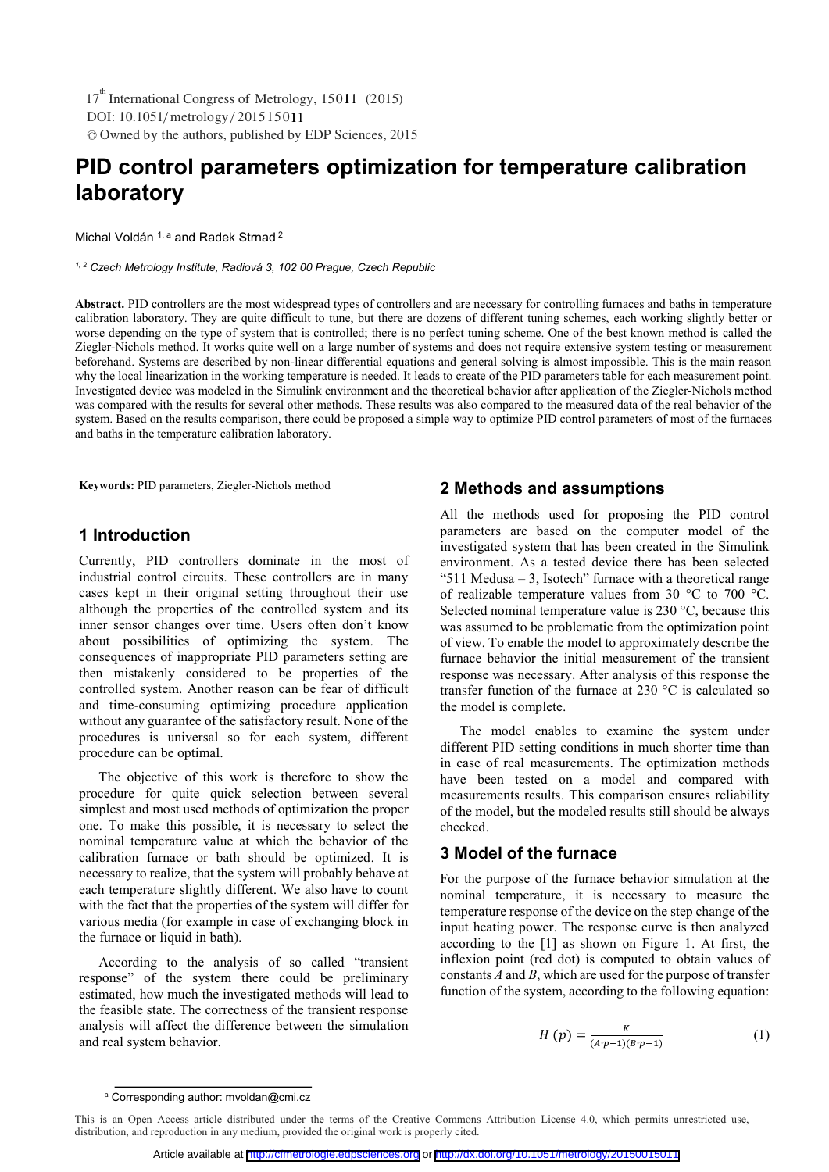DOI: 10.1051/metrology/201515011 © Owned by the authors, published by EDP Sciences, 2015 17<sup>th</sup> International Congress of Metrology, 15011 (2015)

# **PID control parameters optimization for temperature calibration laboratory**

Michal Voldán <sup>1, a</sup> and Radek Strnad<sup>2</sup>

*1, 2 Czech Metrology Institute, Radiová 3, 102 00 Prague, Czech Republic* 

**Abstract.** PID controllers are the most widespread types of controllers and are necessary for controlling furnaces and baths in temperature calibration laboratory. They are quite difficult to tune, but there are dozens of different tuning schemes, each working slightly better or worse depending on the type of system that is controlled; there is no perfect tuning scheme. One of the best known method is called the Ziegler-Nichols method. It works quite well on a large number of systems and does not require extensive system testing or measurement beforehand. Systems are described by non-linear differential equations and general solving is almost impossible. This is the main reason why the local linearization in the working temperature is needed. It leads to create of the PID parameters table for each measurement point. Investigated device was modeled in the Simulink environment and the theoretical behavior after application of the Ziegler-Nichols method was compared with the results for several other methods. These results was also compared to the measured data of the real behavior of the system. Based on the results comparison, there could be proposed a simple way to optimize PID control parameters of most of the furnaces and baths in the temperature calibration laboratory.

**Keywords:** PID parameters, Ziegler-Nichols method

#### **1 Introduction**

Currently, PID controllers dominate in the most of industrial control circuits. These controllers are in many cases kept in their original setting throughout their use although the properties of the controlled system and its inner sensor changes over time. Users often don't know about possibilities of optimizing the system. The consequences of inappropriate PID parameters setting are then mistakenly considered to be properties of the controlled system. Another reason can be fear of difficult and time-consuming optimizing procedure application without any guarantee of the satisfactory result. None of the procedures is universal so for each system, different procedure can be optimal.

The objective of this work is therefore to show the procedure for quite quick selection between several simplest and most used methods of optimization the proper one. To make this possible, it is necessary to select the nominal temperature value at which the behavior of the calibration furnace or bath should be optimized. It is necessary to realize, that the system will probably behave at each temperature slightly different. We also have to count with the fact that the properties of the system will differ for various media (for example in case of exchanging block in the furnace or liquid in bath).

According to the analysis of so called "transient response" of the system there could be preliminary estimated, how much the investigated methods will lead to the feasible state. The correctness of the transient response analysis will affect the difference between the simulation and real system behavior.

#### **2 Methods and assumptions**

All the methods used for proposing the PID control parameters are based on the computer model of the investigated system that has been created in the Simulink environment. As a tested device there has been selected "511 Medusa  $-3$ , Isotech" furnace with a theoretical range of realizable temperature values from 30 °C to 700 °C. Selected nominal temperature value is 230 °C, because this was assumed to be problematic from the optimization point of view. To enable the model to approximately describe the furnace behavior the initial measurement of the transient response was necessary. After analysis of this response the transfer function of the furnace at 230 °C is calculated so the model is complete.

The model enables to examine the system under different PID setting conditions in much shorter time than in case of real measurements. The optimization methods have been tested on a model and compared with measurements results. This comparison ensures reliability of the model, but the modeled results still should be always checked.

# **3 Model of the furnace**

For the purpose of the furnace behavior simulation at the nominal temperature, it is necessary to measure the temperature response of the device on the step change of the input heating power. The response curve is then analyzed according to the [1] as shown on Figure 1. At first, the inflexion point (red dot) is computed to obtain values of constants *A* and *B*, which are used for the purpose of transfer function of the system, according to the following equation:

$$
H(p) = \frac{\kappa}{(A \cdot p + 1)(B \cdot p + 1)}
$$
 (1)

a Corresponding author: mvoldan@cmi.cz

This is an Open Access article distributed under the terms of the Creative Commons Attribution License 4.0, which permits unrestricted use, distribution, and reproduction in any medium, provided the original work is properly cited.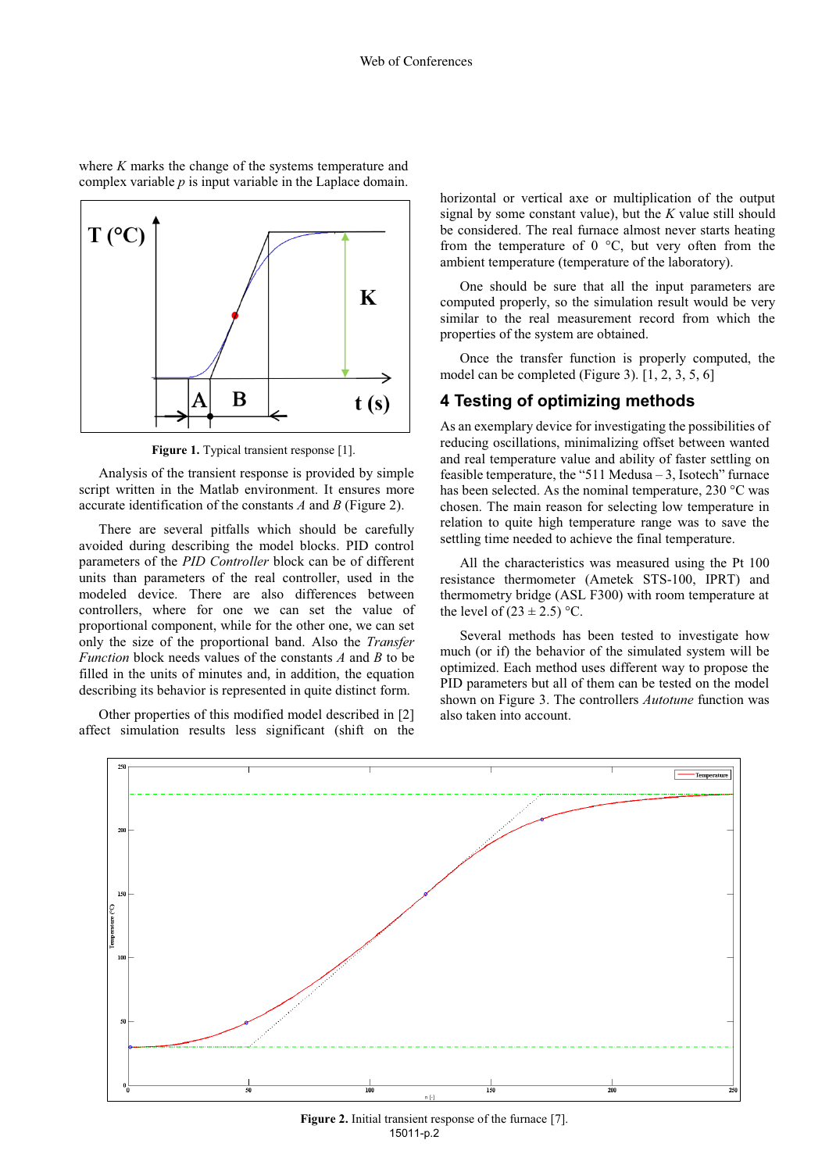

where *K* marks the change of the systems temperature and complex variable *p* is input variable in the Laplace domain.

Figure 1. Typical transient response [1].

Analysis of the transient response is provided by simple script written in the Matlab environment. It ensures more accurate identification of the constants *A* and *B* (Figure 2).

There are several pitfalls which should be carefully avoided during describing the model blocks. PID control parameters of the *PID Controller* block can be of different units than parameters of the real controller, used in the modeled device. There are also differences between controllers, where for one we can set the value of proportional component, while for the other one, we can set only the size of the proportional band. Also the *Transfer Function* block needs values of the constants *A* and *B* to be filled in the units of minutes and, in addition, the equation describing its behavior is represented in quite distinct form.

Other properties of this modified model described in [2] affect simulation results less significant (shift on the horizontal or vertical axe or multiplication of the output signal by some constant value), but the *K* value still should be considered. The real furnace almost never starts heating from the temperature of  $0^{\circ}$ C, but very often from the ambient temperature (temperature of the laboratory).

One should be sure that all the input parameters are computed properly, so the simulation result would be very similar to the real measurement record from which the properties of the system are obtained.

Once the transfer function is properly computed, the model can be completed (Figure 3). [1, 2, 3, 5, 6]

#### **4 Testing of optimizing methods**

As an exemplary device for investigating the possibilities of reducing oscillations, minimalizing offset between wanted and real temperature value and ability of faster settling on feasible temperature, the "511 Medusa – 3, Isotech" furnace has been selected. As the nominal temperature, 230 °C was chosen. The main reason for selecting low temperature in relation to quite high temperature range was to save the settling time needed to achieve the final temperature.

All the characteristics was measured using the Pt 100 resistance thermometer (Ametek STS-100, IPRT) and thermometry bridge (ASL F300) with room temperature at the level of  $(23 \pm 2.5)$  °C.

Several methods has been tested to investigate how much (or if) the behavior of the simulated system will be optimized. Each method uses different way to propose the PID parameters but all of them can be tested on the model shown on Figure 3. The controllers *Autotune* function was also taken into account.



Figure 2. Initial transient response of the furnace [7]. 15011-p.2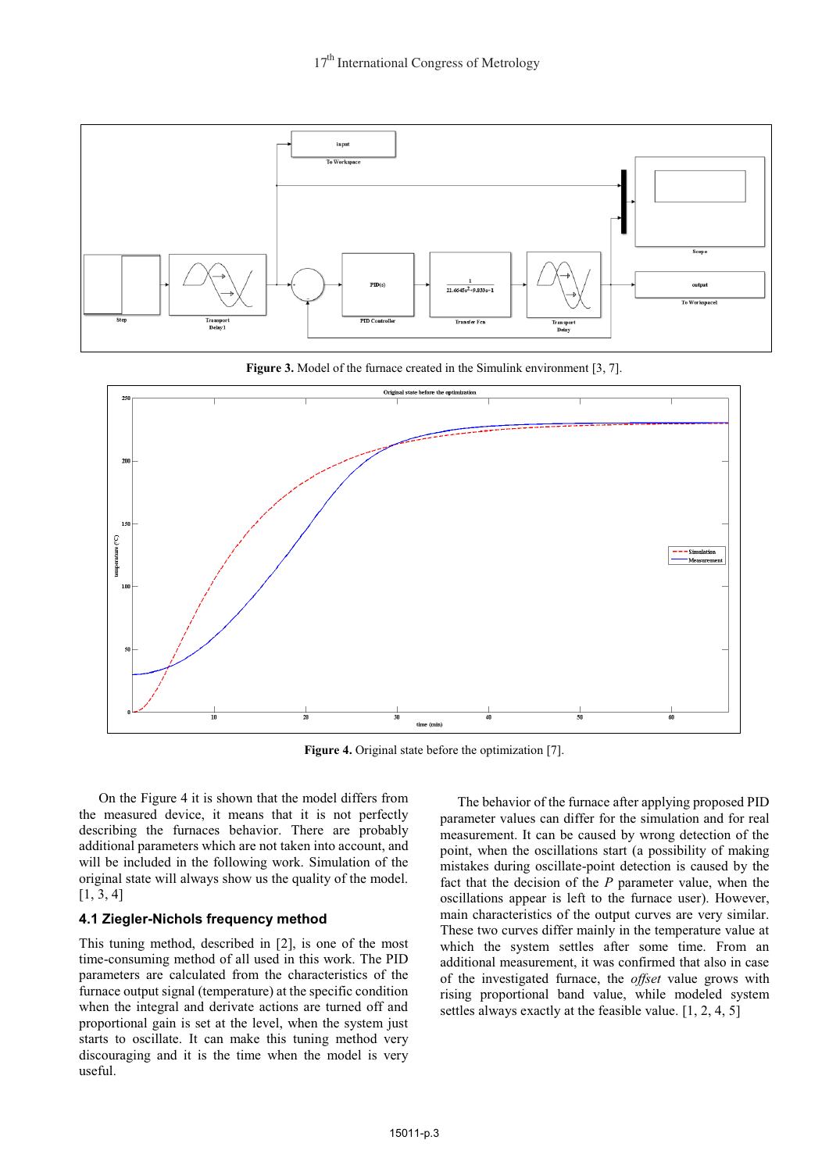

**Figure 3.** Model of the furnace created in the Simulink environment [3, 7].



**Figure 4.** Original state before the optimization [7].

On the Figure 4 it is shown that the model differs from the measured device, it means that it is not perfectly describing the furnaces behavior. There are probably additional parameters which are not taken into account, and will be included in the following work. Simulation of the original state will always show us the quality of the model. [1, 3, 4]

### **4.1 Ziegler-Nichols frequency method**

This tuning method, described in [2], is one of the most time-consuming method of all used in this work. The PID parameters are calculated from the characteristics of the furnace output signal (temperature) at the specific condition when the integral and derivate actions are turned off and proportional gain is set at the level, when the system just starts to oscillate. It can make this tuning method very discouraging and it is the time when the model is very useful.

 The behavior of the furnace after applying proposed PID parameter values can differ for the simulation and for real measurement. It can be caused by wrong detection of the point, when the oscillations start (a possibility of making mistakes during oscillate-point detection is caused by the fact that the decision of the *P* parameter value, when the oscillations appear is left to the furnace user). However, main characteristics of the output curves are very similar. These two curves differ mainly in the temperature value at which the system settles after some time. From an additional measurement, it was confirmed that also in case of the investigated furnace, the *offset* value grows with rising proportional band value, while modeled system settles always exactly at the feasible value. [1, 2, 4, 5]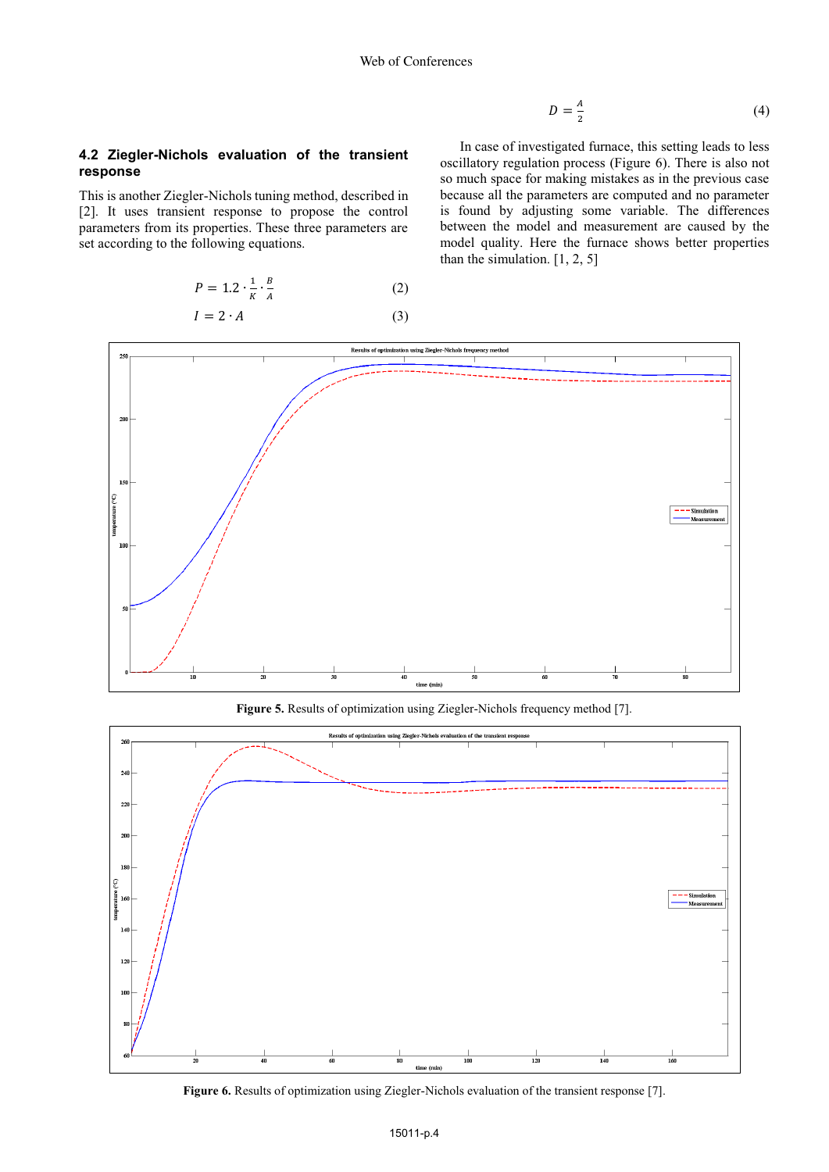$$
D = \frac{A}{2} \tag{4}
$$

#### **4.2 Ziegler-Nichols evaluation of the transient response**

This is another Ziegler-Nichols tuning method, described in [2]. It uses transient response to propose the control parameters from its properties. These three parameters are set according to the following equations.

$$
P = 1.2 \cdot \frac{1}{K} \cdot \frac{B}{A} \tag{2}
$$

$$
I = 2 \cdot A \tag{3}
$$

In case of investigated furnace, this setting leads to less oscillatory regulation process (Figure 6). There is also not so much space for making mistakes as in the previous case because all the parameters are computed and no parameter is found by adjusting some variable. The differences between the model and measurement are caused by the model quality. Here the furnace shows better properties than the simulation. [1, 2, 5]



**Figure 5.** Results of optimization using Ziegler-Nichols frequency method [7].



**Figure 6.** Results of optimization using Ziegler-Nichols evaluation of the transient response [7].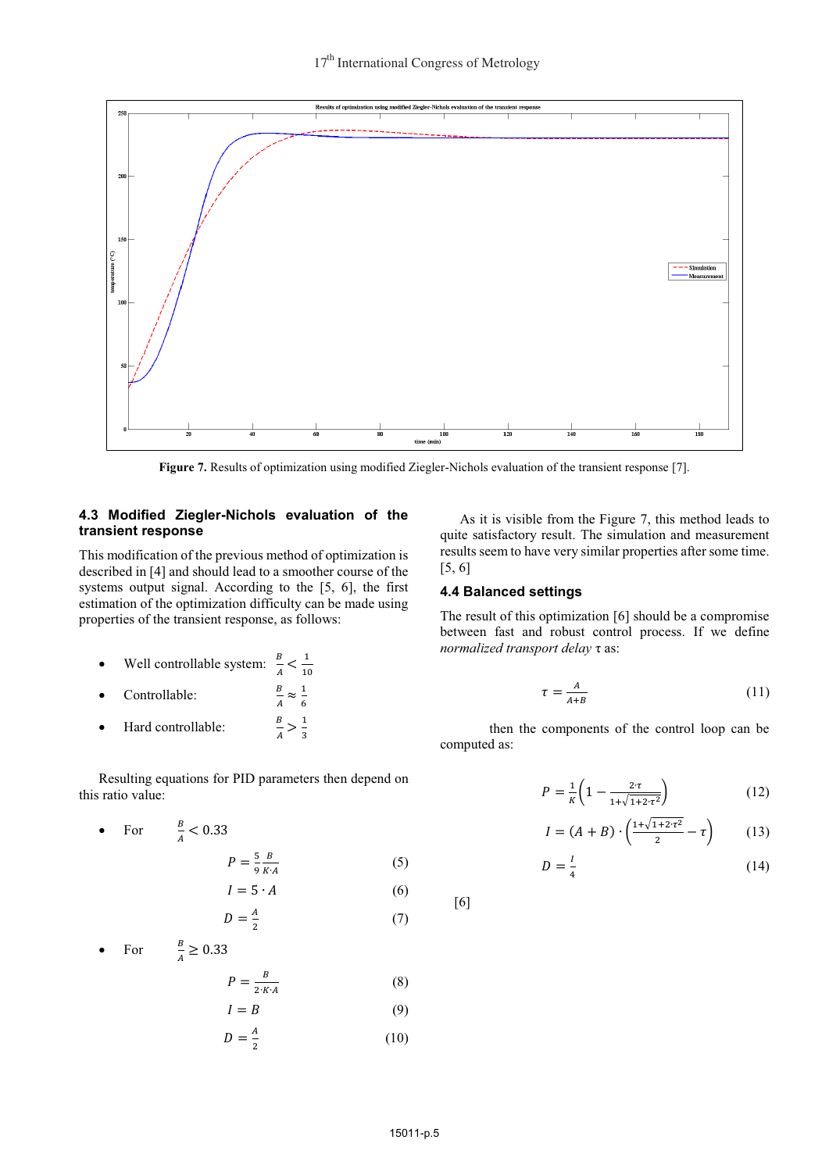

**Figure 7.** Results of optimization using modified Ziegler-Nichols evaluation of the transient response [7].

#### **4.3 Modified Ziegler-Nichols evaluation of the transient response**

This modification of the previous method of optimization is described in [4] and should lead to a smoother course of the systems output signal. According to the [5, 6], the first estimation of the optimization difficulty can be made using properties of the transient response, as follows:

- -• Well controllable system:  $\frac{B}{A} < \frac{1}{10}$
- -Controllable:
- $rac{B}{A} \approx \frac{1}{6}$ - Hard controllable:  $\frac{B}{A} > \frac{1}{3}$

Resulting equations for PID parameters then depend on this ratio value:

• For 
$$
\frac{B}{A} < 0.33
$$
  

$$
P = \frac{5}{9} \frac{B}{K \cdot A}
$$
 (5)

$$
I = 5 \cdot A \tag{6}
$$

$$
D = \frac{A}{2} \tag{7}
$$

• For 
$$
\frac{B}{A} \ge 0.33
$$
  

$$
P = \frac{B}{2 \cdot K \cdot A}
$$
 (8)  

$$
I = B
$$
 (9)

$$
D = \frac{A}{2} \tag{10}
$$

As it is visible from the Figure 7, this method leads to quite satisfactory result. The simulation and measurement results seem to have very similar properties after some time. [5, 6]

#### **4.4 Balanced settings**

The result of this optimization [6] should be a compromise between fast and robust control process. If we define *normalized transport delay* τ as:

$$
\tau = \frac{A}{A+B} \tag{11}
$$

then the components of the control loop can be computed as:

$$
P = \frac{1}{\kappa} \left( 1 - \frac{2 \cdot \tau}{1 + \sqrt{1 + 2 \cdot \tau^2}} \right) \tag{12}
$$

$$
I = (A + B) \cdot \left(\frac{1 + \sqrt{1 + 2 \cdot \tau^2}}{2} - \tau\right) \tag{13}
$$

$$
D = \frac{I}{4} \tag{14}
$$

[6]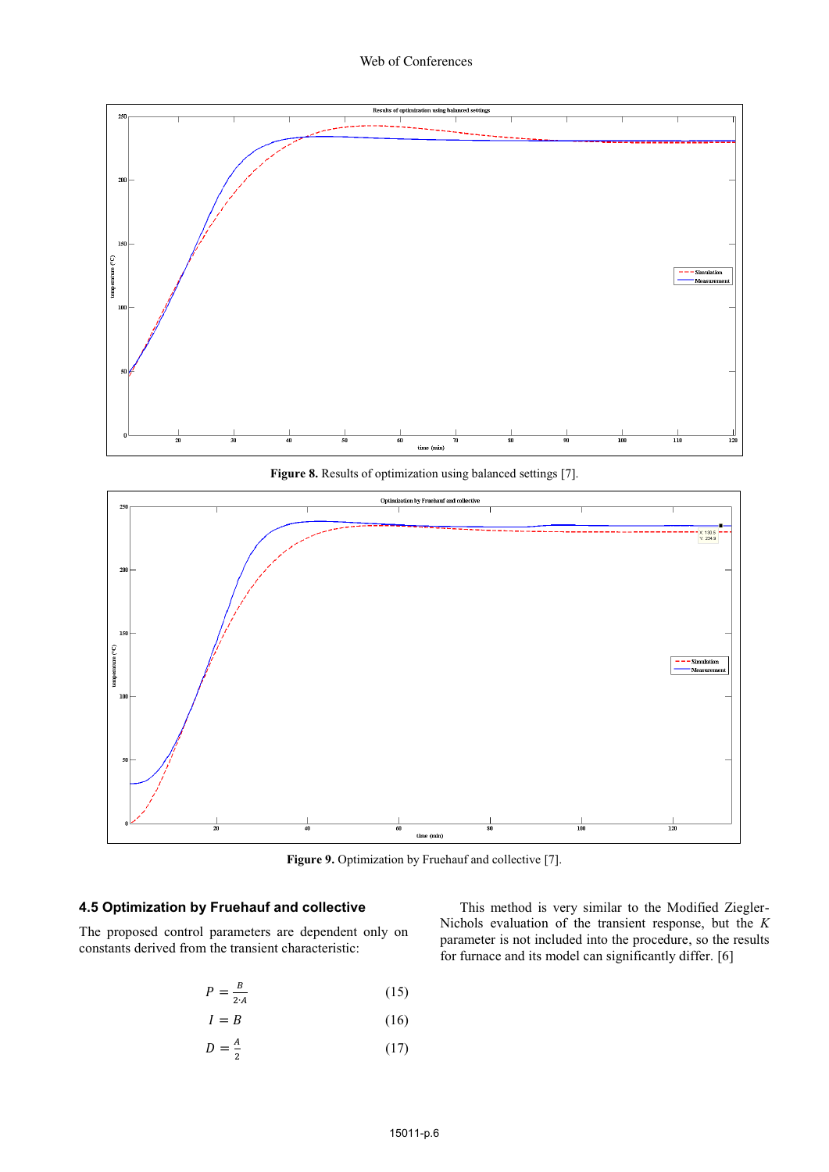

**Figure 8.** Results of optimization using balanced settings [7].



Figure 9. Optimization by Fruehauf and collective [7].

## **4.5 Optimization by Fruehauf and collective**

The proposed control parameters are dependent only on constants derived from the transient characteristic:

$$
P = \frac{B}{2 \cdot A} \tag{15}
$$

$$
I = B \tag{16}
$$

$$
D = \frac{A}{2} \tag{17}
$$

This method is very similar to the Modified Ziegler-Nichols evaluation of the transient response, but the *K* parameter is not included into the procedure, so the results for furnace and its model can significantly differ. [6]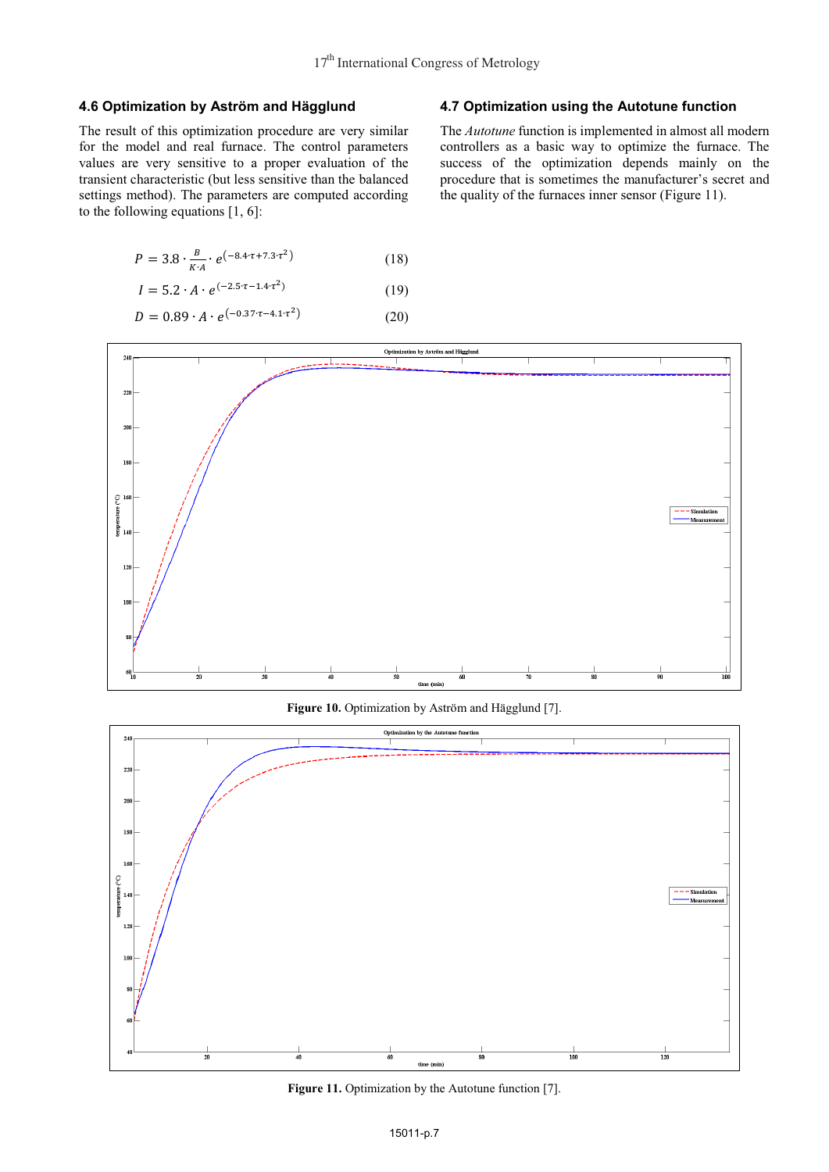#### **4.6 Optimization by Aström and Hägglund**

The result of this optimization procedure are very similar for the model and real furnace. The control parameters values are very sensitive to a proper evaluation of the transient characteristic (but less sensitive than the balanced settings method). The parameters are computed according to the following equations [1, 6]:

$$
P = 3.8 \cdot \frac{B}{K \cdot 4} \cdot e^{(-8.4 \cdot \tau + 7.3 \cdot \tau^2)}
$$
 (18)

$$
I = 5.2 \cdot A \cdot e^{(-2.5 \cdot \tau - 1.4 \cdot \tau^2)}
$$
 (19)

$$
I = 5.2 \cdot A \cdot e^{\lambda}
$$
 (19)

$$
D = 0.89 \cdot A \cdot e^{(-0.37 \cdot \tau - 4.1 \cdot \tau^2)}
$$
 (20)

#### **4.7 Optimization using the Autotune function**

The *Autotune* function is implemented in almost all modern controllers as a basic way to optimize the furnace. The success of the optimization depends mainly on the procedure that is sometimes the manufacturer's secret and the quality of the furnaces inner sensor (Figure 11).



Figure 10. Optimization by Aström and Hägglund [7].



Figure 11. Optimization by the Autotune function [7].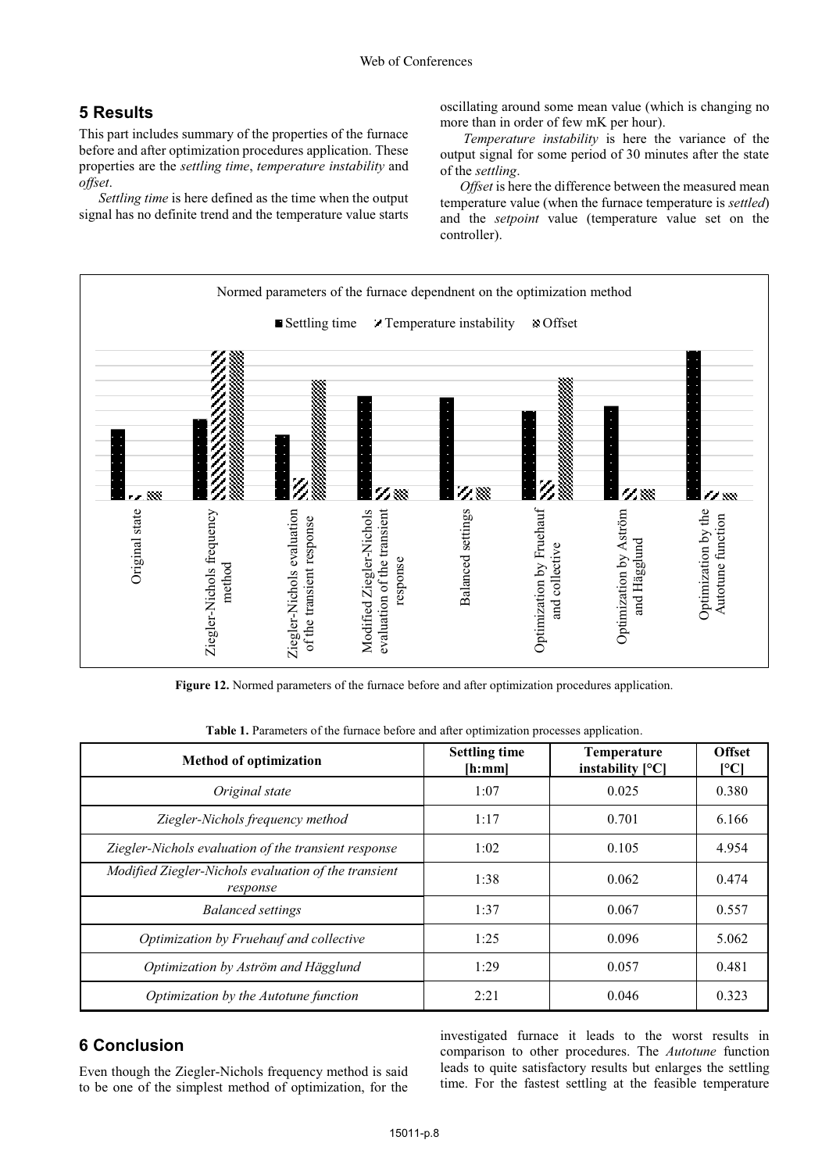# **5 Results**

This part includes summary of the properties of the furnace before and after optimization procedures application. These properties are the *settling time*, *temperature instability* and *offset*.

*Settling time* is here defined as the time when the output signal has no definite trend and the temperature value starts

oscillating around some mean value (which is changing no more than in order of few mK per hour).

*Temperature instability* is here the variance of the output signal for some period of 30 minutes after the state of the *settling*.

*Offset* is here the difference between the measured mean temperature value (when the furnace temperature is *settled*) and the *setpoint* value (temperature value set on the controller).



**Figure 12.** Normed parameters of the furnace before and after optimization procedures application.

| Table 1. Parameters of the furnace before and after optimization processes application. |  |  |  |
|-----------------------------------------------------------------------------------------|--|--|--|
|-----------------------------------------------------------------------------------------|--|--|--|

| <b>Method of optimization</b>                                    | <b>Settling time</b><br>[h;mm] | <b>Temperature</b><br>instability $[°C]$ | <b>Offset</b><br>[°C] |
|------------------------------------------------------------------|--------------------------------|------------------------------------------|-----------------------|
| Original state                                                   | 1:07                           | 0.025                                    | 0.380                 |
| Ziegler-Nichols frequency method                                 | 1:17                           | 0.701                                    | 6.166                 |
| Ziegler-Nichols evaluation of the transient response             | 1:02                           | 0.105                                    | 4.954                 |
| Modified Ziegler-Nichols evaluation of the transient<br>response | 1:38                           | 0.062                                    | 0.474                 |
| <b>Balanced settings</b>                                         | 1:37                           | 0.067                                    | 0.557                 |
| Optimization by Fruehauf and collective                          | 1:25                           | 0.096                                    | 5.062                 |
| Optimization by Aström and Hägglund                              | 1:29                           | 0.057                                    | 0.481                 |
| Optimization by the Autotune function                            | 2:21                           | 0.046                                    | 0.323                 |

# **6 Conclusion**

Even though the Ziegler-Nichols frequency method is said to be one of the simplest method of optimization, for the investigated furnace it leads to the worst results in comparison to other procedures. The *Autotune* function leads to quite satisfactory results but enlarges the settling time. For the fastest settling at the feasible temperature